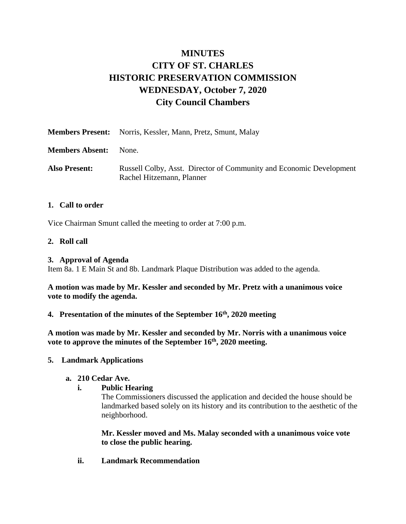# **MINUTES CITY OF ST. CHARLES HISTORIC PRESERVATION COMMISSION WEDNESDAY, October 7, 2020 City Council Chambers**

|                        | <b>Members Present:</b> Norris, Kessler, Mann, Pretz, Smunt, Malay                               |
|------------------------|--------------------------------------------------------------------------------------------------|
| <b>Members Absent:</b> | None.                                                                                            |
| <b>Also Present:</b>   | Russell Colby, Asst. Director of Community and Economic Development<br>Rachel Hitzemann, Planner |

# **1. Call to order**

Vice Chairman Smunt called the meeting to order at 7:00 p.m.

## **2. Roll call**

## **3. Approval of Agenda**

Item 8a. 1 E Main St and 8b. Landmark Plaque Distribution was added to the agenda.

**A motion was made by Mr. Kessler and seconded by Mr. Pretz with a unanimous voice vote to modify the agenda.** 

# **4. Presentation of the minutes of the September 16th , 2020 meeting**

**A motion was made by Mr. Kessler and seconded by Mr. Norris with a unanimous voice vote to approve the minutes of the September 16th, 2020 meeting.**

## **5. Landmark Applications**

## **a. 210 Cedar Ave.**

# **i. Public Hearing**

The Commissioners discussed the application and decided the house should be landmarked based solely on its history and its contribution to the aesthetic of the neighborhood.

**Mr. Kessler moved and Ms. Malay seconded with a unanimous voice vote to close the public hearing.**

**ii. Landmark Recommendation**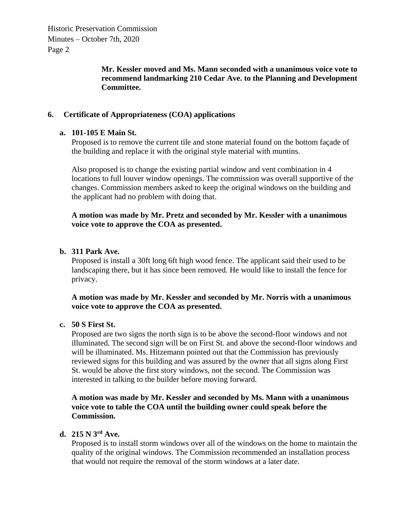Historic Preservation Commission Minutes – October 7th, 2020 Page 2

> **Mr. Kessler moved and Ms. Mann seconded with a unanimous voice vote to recommend landmarking 210 Cedar Ave. to the Planning and Development Committee.**

# **6. Certificate of Appropriateness (COA) applications**

## **a. 101-105 E Main St.**

Proposed is to remove the current tile and stone material found on the bottom façade of the building and replace it with the original style material with muntins.

Also proposed is to change the existing partial window and vent combination in 4 locations to full louver window openings. The commission was overall supportive of the changes. Commission members asked to keep the original windows on the building and the applicant had no problem with doing that.

## **A motion was made by Mr. Pretz and seconded by Mr. Kessler with a unanimous voice vote to approve the COA as presented.**

## **b. 311 Park Ave.**

Proposed is install a 30ft long 6ft high wood fence. The applicant said their used to be landscaping there, but it has since been removed. He would like to install the fence for privacy.

**A motion was made by Mr. Kessler and seconded by Mr. Norris with a unanimous voice vote to approve the COA as presented.**

## **c. 50 S First St.**

Proposed are two signs the north sign is to be above the second-floor windows and not illuminated. The second sign will be on First St. and above the second-floor windows and will be illuminated. Ms. Hitzemann pointed out that the Commission has previously reviewed signs for this building and was assured by the owner that all signs along First St. would be above the first story windows, not the second. The Commission was interested in talking to the builder before moving forward.

# **A motion was made by Mr. Kessler and seconded by Ms. Mann with a unanimous voice vote to table the COA until the building owner could speak before the Commission.**

# **d. 215 N 3rd Ave.**

Proposed is to install storm windows over all of the windows on the home to maintain the quality of the original windows. The Commission recommended an installation process that would not require the removal of the storm windows at a later date.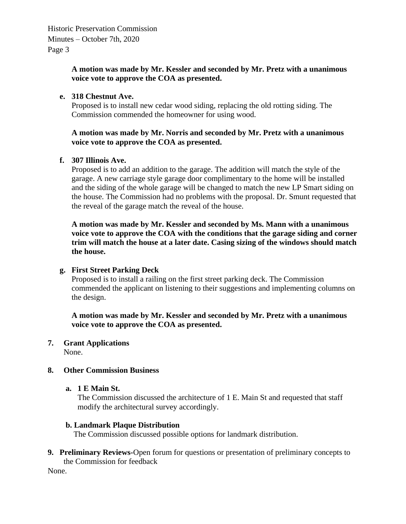# **A motion was made by Mr. Kessler and seconded by Mr. Pretz with a unanimous voice vote to approve the COA as presented.**

# **e. 318 Chestnut Ave.**

Proposed is to install new cedar wood siding, replacing the old rotting siding. The Commission commended the homeowner for using wood.

# **A motion was made by Mr. Norris and seconded by Mr. Pretz with a unanimous voice vote to approve the COA as presented.**

# **f. 307 Illinois Ave.**

Proposed is to add an addition to the garage. The addition will match the style of the garage. A new carriage style garage door complimentary to the home will be installed and the siding of the whole garage will be changed to match the new LP Smart siding on the house. The Commission had no problems with the proposal. Dr. Smunt requested that the reveal of the garage match the reveal of the house.

**A motion was made by Mr. Kessler and seconded by Ms. Mann with a unanimous voice vote to approve the COA with the conditions that the garage siding and corner trim will match the house at a later date. Casing sizing of the windows should match the house.** 

## **g. First Street Parking Deck**

Proposed is to install a railing on the first street parking deck. The Commission commended the applicant on listening to their suggestions and implementing columns on the design.

**A motion was made by Mr. Kessler and seconded by Mr. Pretz with a unanimous voice vote to approve the COA as presented.**

# **7. Grant Applications**

None.

## **8. Other Commission Business**

## **a. 1 E Main St.**

The Commission discussed the architecture of 1 E. Main St and requested that staff modify the architectural survey accordingly.

## **b. Landmark Plaque Distribution**

The Commission discussed possible options for landmark distribution.

**9. Preliminary Reviews-**Open forum for questions or presentation of preliminary concepts to the Commission for feedback

None.